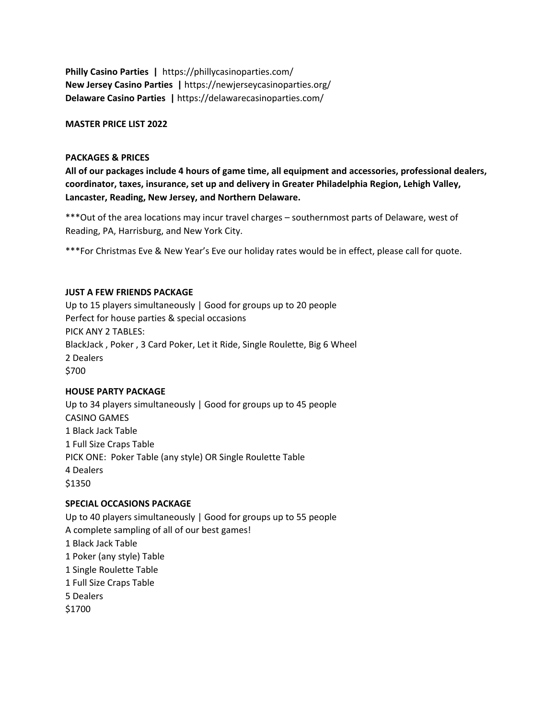**Philly Casino Parties |** https://phillycasinoparties.com/ **New Jersey Casino Parties |** https://newjerseycasinoparties.org/ **Delaware Casino Parties |** https://delawarecasinoparties.com/

### **MASTER PRICE LIST 2022**

### **PACKAGES & PRICES**

**All of our packages include 4 hours of game time, all equipment and accessories, professional dealers, coordinator, taxes, insurance, set up and delivery in Greater Philadelphia Region, Lehigh Valley, Lancaster, Reading, New Jersey, and Northern Delaware.** 

\*\*\*Out of the area locations may incur travel charges – southernmost parts of Delaware, west of Reading, PA, Harrisburg, and New York City.

\*\*\*For Christmas Eve & New Year's Eve our holiday rates would be in effect, please call for quote.

### **JUST A FEW FRIENDS PACKAGE**

Up to 15 players simultaneously | Good for groups up to 20 people Perfect for house parties & special occasions PICK ANY 2 TABLES: BlackJack , Poker , 3 Card Poker, Let it Ride, Single Roulette, Big 6 Wheel 2 Dealers \$700

### **HOUSE PARTY PACKAGE**

Up to 34 players simultaneously | Good for groups up to 45 people CASINO GAMES 1 Black Jack Table 1 Full Size Craps Table PICK ONE: Poker Table (any style) OR Single Roulette Table 4 Dealers \$1350

## **SPECIAL OCCASIONS PACKAGE**

Up to 40 players simultaneously | Good for groups up to 55 people A complete sampling of all of our best games! 1 Black Jack Table 1 Poker (any style) Table 1 Single Roulette Table 1 Full Size Craps Table 5 Dealers \$1700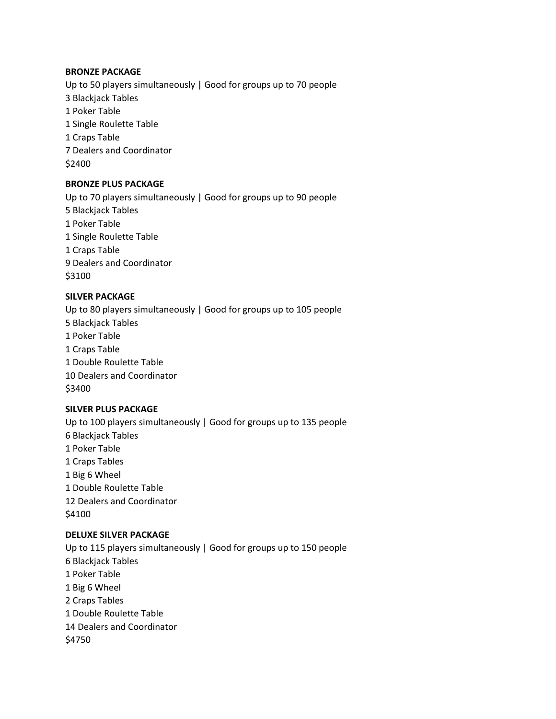### **BRONZE PACKAGE**

Up to 50 players simultaneously | Good for groups up to 70 people 3 Blackjack Tables 1 Poker Table 1 Single Roulette Table 1 Craps Table 7 Dealers and Coordinator \$2400

## **BRONZE PLUS PACKAGE**

Up to 70 players simultaneously | Good for groups up to 90 people 5 Blackjack Tables 1 Poker Table 1 Single Roulette Table 1 Craps Table 9 Dealers and Coordinator \$3100

# **SILVER PACKAGE**

Up to 80 players simultaneously | Good for groups up to 105 people 5 Blackjack Tables 1 Poker Table 1 Craps Table 1 Double Roulette Table 10 Dealers and Coordinator \$3400

# **SILVER PLUS PACKAGE**

Up to 100 players simultaneously | Good for groups up to 135 people 6 Blackjack Tables 1 Poker Table 1 Craps Tables 1 Big 6 Wheel 1 Double Roulette Table 12 Dealers and Coordinator \$4100

### **DELUXE SILVER PACKAGE**

Up to 115 players simultaneously | Good for groups up to 150 people 6 Blackjack Tables 1 Poker Table 1 Big 6 Wheel 2 Craps Tables 1 Double Roulette Table 14 Dealers and Coordinator \$4750